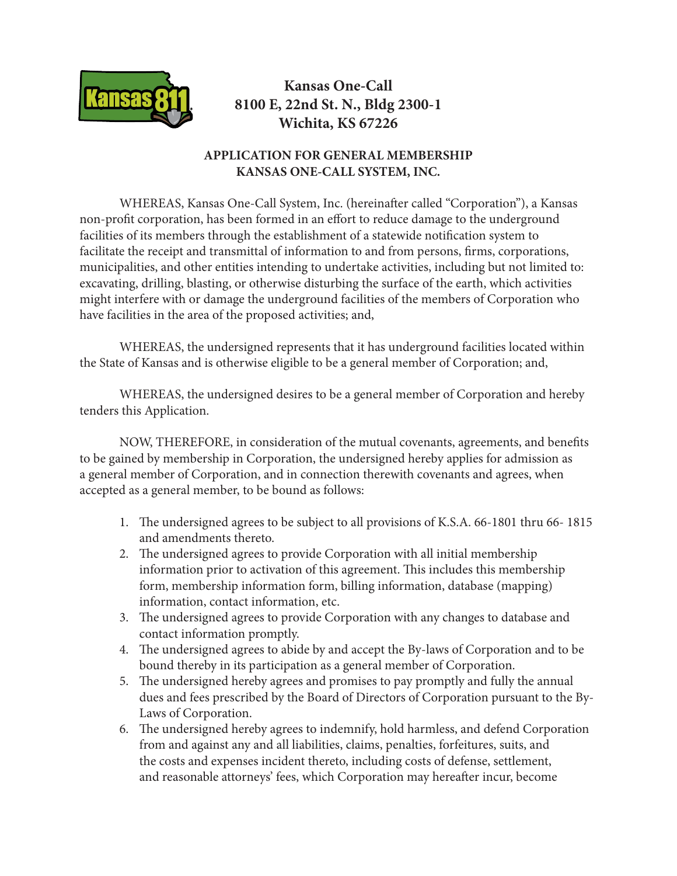

## **Kansas One-Call 8100 E, 22nd St. N., Bldg 2300-1 Wichita, KS 67226**

## **APPLICATION FOR GENERAL MEMBERSHIP KANSAS ONE-CALL SYSTEM, INC.**

WHEREAS, Kansas One-Call System, Inc. (hereinafter called "Corporation"), a Kansas non-profit corporation, has been formed in an effort to reduce damage to the underground facilities of its members through the establishment of a statewide notification system to facilitate the receipt and transmittal of information to and from persons, firms, corporations, municipalities, and other entities intending to undertake activities, including but not limited to: excavating, drilling, blasting, or otherwise disturbing the surface of the earth, which activities might interfere with or damage the underground facilities of the members of Corporation who have facilities in the area of the proposed activities; and,

WHEREAS, the undersigned represents that it has underground facilities located within the State of Kansas and is otherwise eligible to be a general member of Corporation; and,

WHEREAS, the undersigned desires to be a general member of Corporation and hereby tenders this Application.

NOW, THEREFORE, in consideration of the mutual covenants, agreements, and benefits to be gained by membership in Corporation, the undersigned hereby applies for admission as a general member of Corporation, and in connection therewith covenants and agrees, when accepted as a general member, to be bound as follows:

- 1. The undersigned agrees to be subject to all provisions of K.S.A. 66-1801 thru 66- 1815 and amendments thereto.
- 2. The undersigned agrees to provide Corporation with all initial membership information prior to activation of this agreement. This includes this membership form, membership information form, billing information, database (mapping) information, contact information, etc.
- 3. The undersigned agrees to provide Corporation with any changes to database and contact information promptly.
- 4. The undersigned agrees to abide by and accept the By-laws of Corporation and to be bound thereby in its participation as a general member of Corporation.
- 5. The undersigned hereby agrees and promises to pay promptly and fully the annual dues and fees prescribed by the Board of Directors of Corporation pursuant to the By-Laws of Corporation.
- 6. The undersigned hereby agrees to indemnify, hold harmless, and defend Corporation from and against any and all liabilities, claims, penalties, forfeitures, suits, and the costs and expenses incident thereto, including costs of defense, settlement, and reasonable attorneys' fees, which Corporation may hereafter incur, become